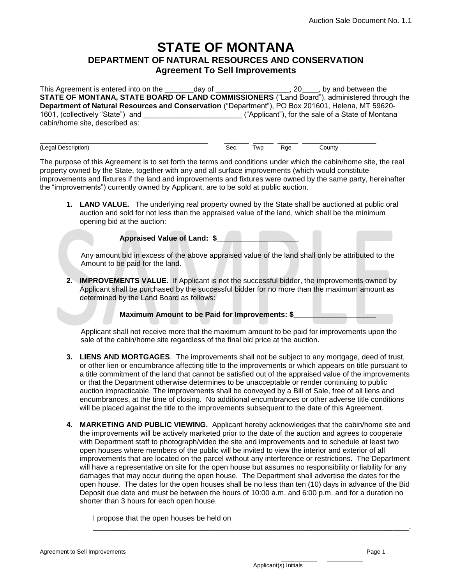## **STATE OF MONTANA DEPARTMENT OF NATURAL RESOURCES AND CONSERVATION Agreement To Sell Improvements**

This Agreement is entered into on the \_\_\_\_\_\_\_day of \_\_\_\_\_\_\_\_\_\_\_\_\_\_\_\_\_\_, 20\_\_\_\_, by and between the **STATE OF MONTANA, STATE BOARD OF LAND COMMISSIONERS** ("Land Board"), administered through the **Department of Natural Resources and Conservation** ("Department"), PO Box 201601, Helena, MT 59620- 1601, (collectively "State") and \_\_\_\_\_\_\_\_\_\_\_\_\_\_\_\_\_\_\_\_\_\_\_\_ ("Applicant"), for the sale of a State of Montana cabin/home site, described as:

\_\_\_\_\_\_\_\_\_\_\_\_\_\_\_\_\_\_\_\_\_\_\_\_\_\_\_\_\_\_\_\_\_\_\_\_\_\_\_\_\_ \_\_\_\_\_\_ \_\_\_\_\_ \_\_\_\_\_ \_\_\_\_\_\_\_\_\_\_\_\_\_\_\_\_\_\_ (Legal Description) Sec. Twp Rge County

The purpose of this Agreement is to set forth the terms and conditions under which the cabin/home site, the real property owned by the State, together with any and all surface improvements (which would constitute improvements and fixtures if the land and improvements and fixtures were owned by the same party, hereinafter the "improvements") currently owned by Applicant, are to be sold at public auction.

**1. LAND VALUE.** The underlying real property owned by the State shall be auctioned at public oral auction and sold for not less than the appraised value of the land, which shall be the minimum opening bid at the auction:

**Appraised Value of Land: \$\_\_\_\_\_\_\_\_\_\_\_\_\_\_\_\_\_\_\_\_**

 Any amount bid in excess of the above appraised value of the land shall only be attributed to the Amount to be paid for the land.

**2. IMPROVEMENTS VALUE.** If Applicant is not the successful bidder, the improvements owned by Applicant shall be purchased by the successful bidder for no more than the maximum amount as determined by the Land Board as follows:

**Maximum Amount to be Paid for Improvements: \$** 

 Applicant shall not receive more that the maximum amount to be paid for improvements upon the sale of the cabin/home site regardless of the final bid price at the auction.

- **3. LIENS AND MORTGAGES**. The improvements shall not be subject to any mortgage, deed of trust, or other lien or encumbrance affecting title to the improvements or which appears on title pursuant to a title commitment of the land that cannot be satisfied out of the appraised value of the improvements or that the Department otherwise determines to be unacceptable or render continuing to public auction impracticable. The improvements shall be conveyed by a Bill of Sale, free of all liens and encumbrances, at the time of closing. No additional encumbrances or other adverse title conditions will be placed against the title to the improvements subsequent to the date of this Agreement.
- **4. MARKETING AND PUBLIC VIEWING.** Applicant hereby acknowledges that the cabin/home site and the improvements will be actively marketed prior to the date of the auction and agrees to cooperate with Department staff to photograph/video the site and improvements and to schedule at least two open houses where members of the public will be invited to view the interior and exterior of all improvements that are located on the parcel without any interference or restrictions. The Department will have a representative on site for the open house but assumes no responsibility or liability for any damages that may occur during the open house. The Department shall advertise the dates for the open house. The dates for the open houses shall be no less than ten (10) days in advance of the Bid Deposit due date and must be between the hours of 10:00 a.m. and 6:00 p.m. and for a duration no shorter than 3 hours for each open house.

\_\_\_\_\_\_\_\_\_\_\_\_\_\_\_\_\_\_\_\_\_\_\_\_\_\_\_\_\_\_\_\_\_\_\_\_\_\_\_\_\_\_\_\_\_\_\_\_\_\_\_\_\_\_\_\_\_\_\_\_\_\_\_\_\_\_\_\_\_\_\_\_\_\_\_\_\_.

I propose that the open houses be held on

\_\_\_\_\_\_\_\_\_\_\_ \_\_\_\_\_\_\_\_\_\_\_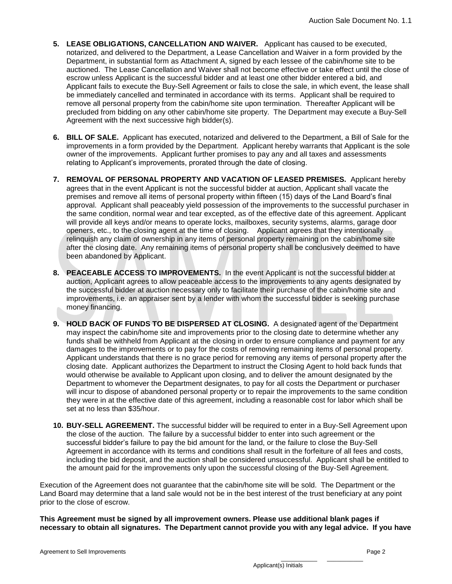- **5. LEASE OBLIGATIONS, CANCELLATION AND WAIVER.** Applicant has caused to be executed, notarized, and delivered to the Department, a Lease Cancellation and Waiver in a form provided by the Department, in substantial form as Attachment A, signed by each lessee of the cabin/home site to be auctioned. The Lease Cancellation and Waiver shall not become effective or take effect until the close of escrow unless Applicant is the successful bidder and at least one other bidder entered a bid, and Applicant fails to execute the Buy-Sell Agreement or fails to close the sale, in which event, the lease shall be immediately cancelled and terminated in accordance with its terms. Applicant shall be required to remove all personal property from the cabin/home site upon termination. Thereafter Applicant will be precluded from bidding on any other cabin/home site property. The Department may execute a Buy-Sell Agreement with the next successive high bidder(s).
- **6. BILL OF SALE.** Applicant has executed, notarized and delivered to the Department, a Bill of Sale for the improvements in a form provided by the Department. Applicant hereby warrants that Applicant is the sole owner of the improvements. Applicant further promises to pay any and all taxes and assessments relating to Applicant's improvements, prorated through the date of closing.
- **7. REMOVAL OF PERSONAL PROPERTY AND VACATION OF LEASED PREMISES.** Applicant hereby agrees that in the event Applicant is not the successful bidder at auction, Applicant shall vacate the premises and remove all items of personal property within fifteen (15) days of the Land Board's final approval. Applicant shall peaceably yield possession of the improvements to the successful purchaser in the same condition, normal wear and tear excepted, as of the effective date of this agreement. Applicant will provide all keys and/or means to operate locks, mailboxes, security systems, alarms, garage door openers, etc., to the closing agent at the time of closing. Applicant agrees that they intentionally relinquish any claim of ownership in any items of personal property remaining on the cabin/home site after the closing date. Any remaining items of personal property shall be conclusively deemed to have been abandoned by Applicant.
- **8. PEACEABLE ACCESS TO IMPROVEMENTS.** In the event Applicant is not the successful bidder at auction, Applicant agrees to allow peaceable access to the improvements to any agents designated by the successful bidder at auction necessary only to facilitate their purchase of the cabin/home site and improvements, i.e. an appraiser sent by a lender with whom the successful bidder is seeking purchase money financing.
- **9. HOLD BACK OF FUNDS TO BE DISPERSED AT CLOSING.** A designated agent of the Department may inspect the cabin/home site and improvements prior to the closing date to determine whether any funds shall be withheld from Applicant at the closing in order to ensure compliance and payment for any damages to the improvements or to pay for the costs of removing remaining items of personal property. Applicant understands that there is no grace period for removing any items of personal property after the closing date. Applicant authorizes the Department to instruct the Closing Agent to hold back funds that would otherwise be available to Applicant upon closing, and to deliver the amount designated by the Department to whomever the Department designates, to pay for all costs the Department or purchaser will incur to dispose of abandoned personal property or to repair the improvements to the same condition they were in at the effective date of this agreement, including a reasonable cost for labor which shall be set at no less than \$35/hour.
- **10. BUY-SELL AGREEMENT.** The successful bidder will be required to enter in a Buy-Sell Agreement upon the close of the auction. The failure by a successful bidder to enter into such agreement or the successful bidder's failure to pay the bid amount for the land, or the failure to close the Buy-Sell Agreement in accordance with its terms and conditions shall result in the forfeiture of all fees and costs, including the bid deposit, and the auction shall be considered unsuccessful. Applicant shall be entitled to the amount paid for the improvements only upon the successful closing of the Buy-Sell Agreement.

Execution of the Agreement does not guarantee that the cabin/home site will be sold. The Department or the Land Board may determine that a land sale would not be in the best interest of the trust beneficiary at any point prior to the close of escrow.

**This Agreement must be signed by all improvement owners. Please use additional blank pages if necessary to obtain all signatures. The Department cannot provide you with any legal advice. If you have**